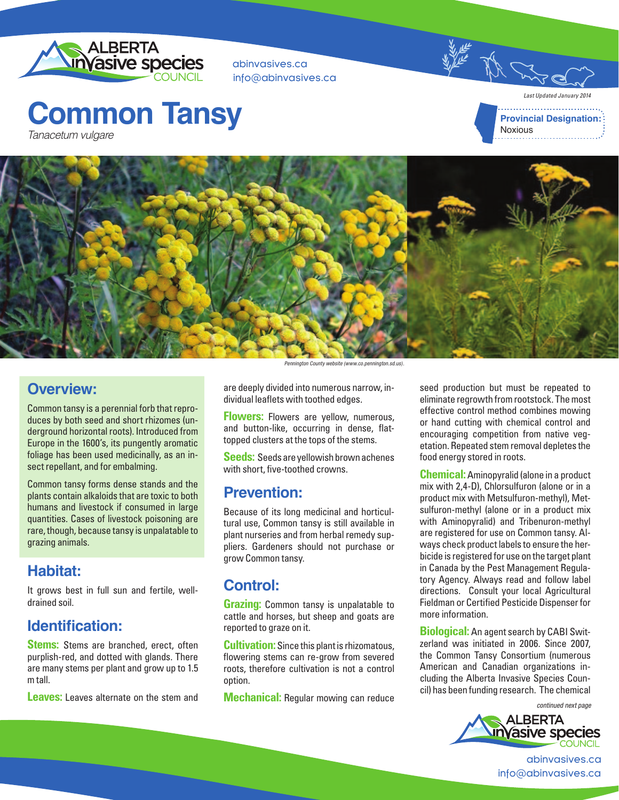

abinvasives.ca info@abinvasives.ca

# **Common Tansy** Tanacetum vulgare

*Last Updated January 2014* **Provincial Designation: Noxious** 



#### **Overview:**

Common tansy is a perennial forb that reproduces by both seed and short rhizomes (underground horizontal roots). Introduced from Europe in the 1600's, its pungently aromatic foliage has been used medicinally, as an insect repellant, and for embalming.

Common tansy forms dense stands and the plants contain alkaloids that are toxic to both humans and livestock if consumed in large quantities. Cases of livestock poisoning are rare, though, because tansy is unpalatable to grazing animals.

## **Habitat:**

It grows best in full sun and fertile, welldrained soil.

## **Identification:**

**Stems:** Stems are branched, erect, often purplish-red, and dotted with glands. There are many stems per plant and grow up to 1.5 m tall.

**Leaves:** Leaves alternate on the stem and

Pennington County website (www.co.pennington.sd.us).

are deeply divided into numerous narrow, individual leaflets with toothed edges.

**Flowers:** Flowers are yellow, numerous, and button-like, occurring in dense, flattopped clusters at the tops of the stems.

**Seeds:** Seeds are yellowish brown achenes with short, five-toothed crowns.

#### **Prevention:**

Because of its long medicinal and horticultural use, Common tansy is still available in plant nurseries and from herbal remedy suppliers. Gardeners should not purchase or grow Common tansy.

## **Control:**

**Grazing:** Common tansy is unpalatable to cattle and horses, but sheep and goats are reported to graze on it.

**Cultivation:** Since this plant is rhizomatous, flowering stems can re-grow from severed roots, therefore cultivation is not a control option.

**Mechanical:** Regular mowing can reduce

seed production but must be repeated to eliminate regrowth from rootstock. The most effective control method combines mowing or hand cutting with chemical control and encouraging competition from native vegetation. Repeated stem removal depletes the food energy stored in roots.

**Chemical:** Aminopyralid (alone in a product mix with 2,4-D), Chlorsulfuron (alone or in a product mix with Metsulfuron-methyl), Metsulfuron-methyl (alone or in a product mix with Aminopyralid) and Tribenuron-methyl are registered for use on Common tansy. Always check product labels to ensure the herbicide is registered for use on the target plant in Canada by the Pest Management Regulatory Agency. Always read and follow label directions. Consult your local Agricultural Fieldman or Certified Pesticide Dispenser for more information.

**Biological:** An agent search by CABI Switzerland was initiated in 2006. Since 2007, the Common Tansy Consortium (numerous American and Canadian organizations including the Alberta Invasive Species Council) has been funding research. The chemical

continued next page



abinvasives.ca info@abinvasives.ca